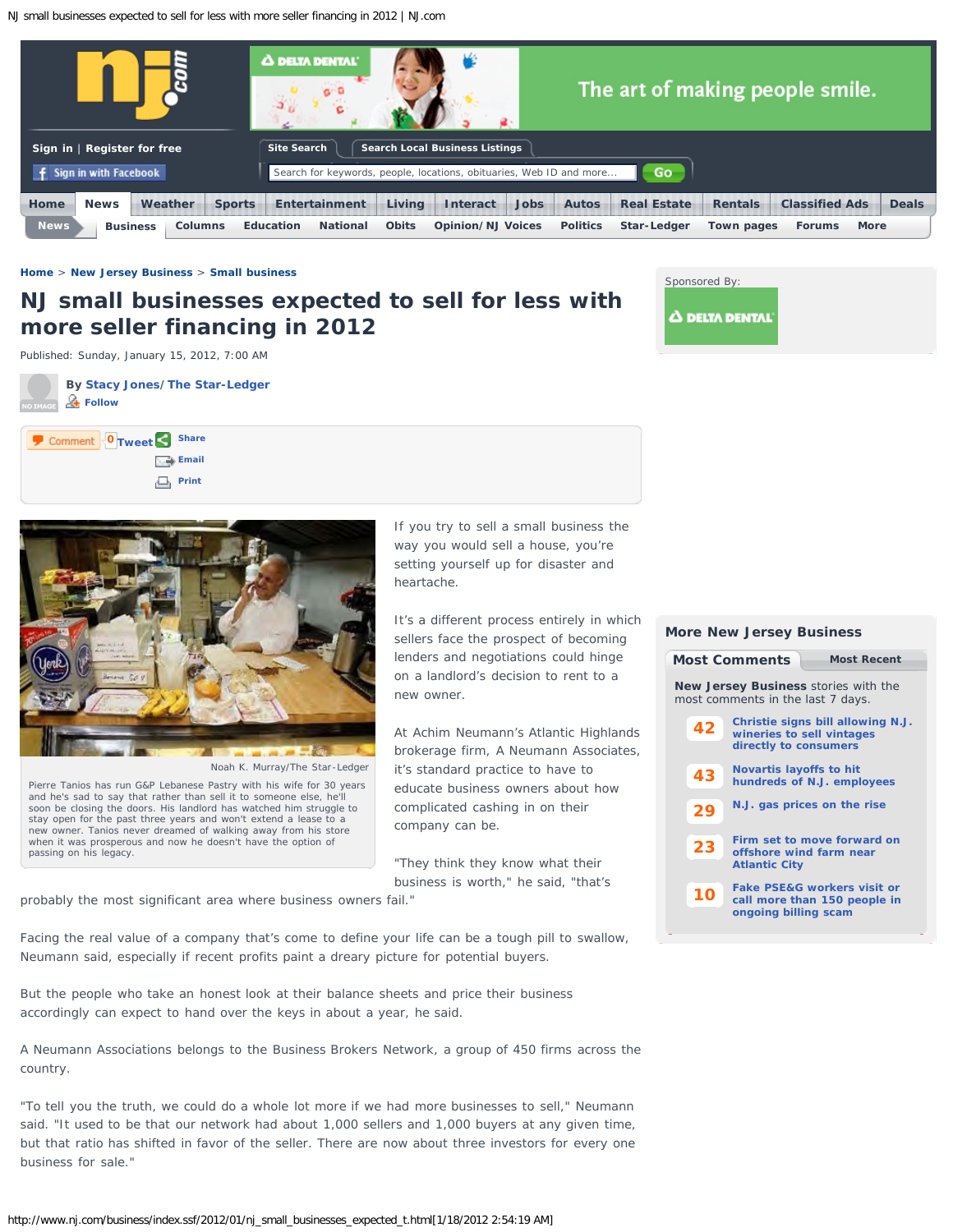<span id="page-0-1"></span>NJ small businesses expected to sell for less with more seller financing in 2012 | NJ.com



## **[Home](http://www.nj.com/)** > **[New Jersey Business](http://www.nj.com/business/index.ssf/)** > **[Small business](http://www.nj.com/business/index.ssf/small_business/index.html)**

# **NJ small businesses expected to sell for less with more seller financing in 2012**



Published: Sunday, January 15, 2012, 7:00 AM

**By [Stacy Jones/The Star-Ledger](http://connect.nj.com/user/stacyannj/index.html)  Follow**





Noah K. Murray/The Star-Ledger

<span id="page-0-0"></span>Pierre Tanios has run G&P Lebanese Pastry with his wife for 30 years and he's sad to say that rather than sell it to someone else, he'll soon be closing the doors. His landlord has watched him struggle to stay open for the past three years and won't extend a lease to a new owner. Tanios never dreamed of walking away from his store when it was prosperous and now he doesn't have the option of passing on his legacy.

If you try to sell a small business the way you would sell a house, you're setting yourself up for disaster and heartache.

It's a different process entirely in which sellers face the prospect of becoming lenders and negotiations could hinge on a landlord's decision to rent to a new owner.

At Achim Neumann's Atlantic Highlands brokerage firm, A Neumann Associates, it's standard practice to have to educate business owners about how complicated cashing in on their company can be.

"They think they know what their business is worth," he said, "that's

probably the most significant area where business owners fail."

Facing the real value of a company that's come to define your life can be a tough pill to swallow, Neumann said, especially if recent profits paint a dreary picture for potential buyers.

But the people who take an honest look at their balance sheets and price their business accordingly can expect to hand over the keys in about a year, he said.

A Neumann Associations belongs to the Business Brokers Network, a group of 450 firms across the country.

"To tell you the truth, we could do a whole lot more if we had more businesses to sell," Neumann said. "It used to be that our network had about 1,000 sellers and 1,000 buyers at any given time, but that ratio has shifted in favor of the seller. There are now about three investors for every one business for sale."

# **[42](http://www.nj.com/news/index.ssf/2012/01/under_new_bill_nj_wineries_can.html#incart_mce) [43](http://www.nj.com/business/index.ssf/2012/01/novartis_layoffs_to_hit_hundre.html#incart_mce) [29](http://www.nj.com/news/index.ssf/2012/01/nj_gas_prices_on_the_rise.html#incart_mce) New Jersey Business** stories with the most comments in the last 7 days. **[Christie signs bill allowing N.J.](http://www.nj.com/news/index.ssf/2012/01/under_new_bill_nj_wineries_can.html#incart_mce) [wineries to sell vintages](http://www.nj.com/news/index.ssf/2012/01/under_new_bill_nj_wineries_can.html#incart_mce) [directly to consumers](http://www.nj.com/news/index.ssf/2012/01/under_new_bill_nj_wineries_can.html#incart_mce) [Novartis layoffs to hit](http://www.nj.com/business/index.ssf/2012/01/novartis_layoffs_to_hit_hundre.html#incart_mce) [hundreds of N.J. employees](http://www.nj.com/business/index.ssf/2012/01/novartis_layoffs_to_hit_hundre.html#incart_mce) [N.J. gas prices on the rise](http://www.nj.com/news/index.ssf/2012/01/nj_gas_prices_on_the_rise.html#incart_mce) [Firm set to move forward on](http://www.nj.com/news/index.ssf/2012/01/firm_set_to_move_forward_on_of.html#incart_mce) [Most Comments](#page-0-0) [Most Recent](#page-0-1)**

**More New Jersey Business**

**[23](http://www.nj.com/news/index.ssf/2012/01/firm_set_to_move_forward_on_of.html#incart_mce) [offshore wind farm near](http://www.nj.com/news/index.ssf/2012/01/firm_set_to_move_forward_on_of.html#incart_mce) [Atlantic City](http://www.nj.com/news/index.ssf/2012/01/firm_set_to_move_forward_on_of.html#incart_mce)**

**[10](http://www.nj.com/business/index.ssf/2012/01/fake_pseg_workers_visit_or_cal.html#incart_mce) [Fake PSE&G workers visit or](http://www.nj.com/business/index.ssf/2012/01/fake_pseg_workers_visit_or_cal.html#incart_mce) [call more than 150 people in](http://www.nj.com/business/index.ssf/2012/01/fake_pseg_workers_visit_or_cal.html#incart_mce) [ongoing billing scam](http://www.nj.com/business/index.ssf/2012/01/fake_pseg_workers_visit_or_cal.html#incart_mce)**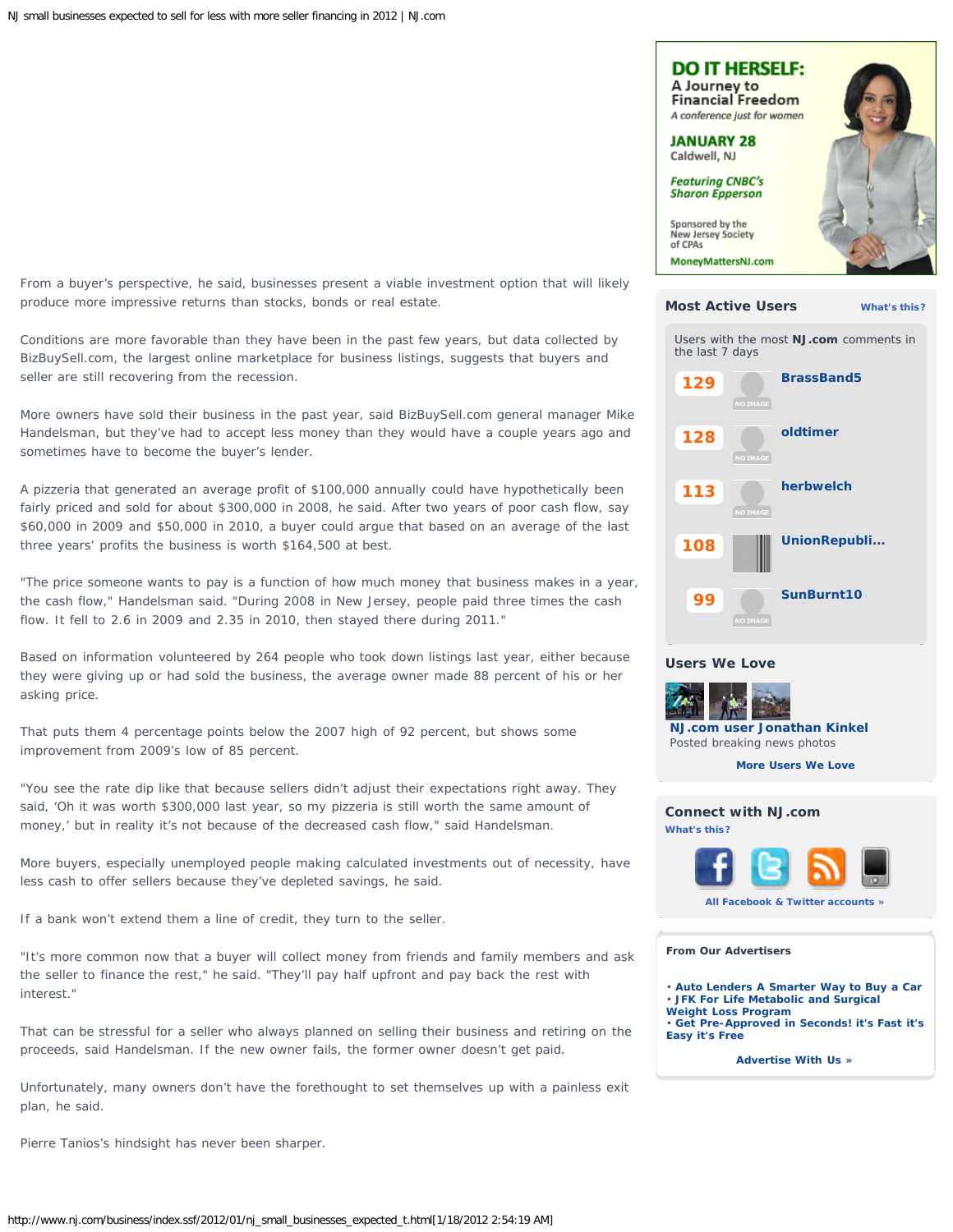From a buyer's perspective, he said, businesses present a viable investment option that will likely produce more impressive returns than stocks, bonds or real estate.

Conditions are more favorable than they have been in the past few years, but data collected by BizBuySell.com, the largest online marketplace for business listings, suggests that buyers and seller are still recovering from the recession.

More owners have sold their business in the past year, said BizBuySell.com general manager Mike Handelsman, but they've had to accept less money than they would have a couple years ago and sometimes have to become the buyer's lender.

A pizzeria that generated an average profit of \$100,000 annually could have hypothetically been fairly priced and sold for about \$300,000 in 2008, he said. After two years of poor cash flow, say \$60,000 in 2009 and \$50,000 in 2010, a buyer could argue that based on an average of the last three years' profits the business is worth \$164,500 at best.

"The price someone wants to pay is a function of how much money that business makes in a year, the cash flow," Handelsman said. "During 2008 in New Jersey, people paid three times the cash flow. It fell to 2.6 in 2009 and 2.35 in 2010, then stayed there during 2011."

Based on information volunteered by 264 people who took down listings last year, either because they were giving up or had sold the business, the average owner made 88 percent of his or her asking price.

That puts them 4 percentage points below the 2007 high of 92 percent, but shows some improvement from 2009's low of 85 percent.

"You see the rate dip like that because sellers didn't adjust their expectations right away. They said, 'Oh it was worth \$300,000 last year, so my pizzeria is still worth the same amount of money,' but in reality it's not because of the decreased cash flow," said Handelsman.

More buyers, especially unemployed people making calculated investments out of necessity, have less cash to offer sellers because they've depleted savings, he said.

If a bank won't extend them a line of credit, they turn to the seller.

"It's more common now that a buyer will collect money from friends and family members and ask the seller to finance the rest," he said. "They'll pay half upfront and pay back the rest with interest."

That can be stressful for a seller who always planned on selling their business and retiring on the proceeds, said Handelsman. If the new owner fails, the former owner doesn't get paid.

Unfortunately, many owners don't have the forethought to set themselves up with a painless exit plan, he said.

Pierre Tanios's hindsight has never been sharper.



**[More Users We Love](http://blog.nj.com/featured-njcom-users/)**

**[SunBurnt10](http://connect.nj.com/user/SunBurnt10/index.html)**



**[NJ.com user Jonathan Kinkel](http://blog.nj.com/featured-njcom-users/2012/01/njcom_user_jonathan_kinkel.html)**  Posted breaking news photos



**From Our Advertisers**

**[99](http://connect.nj.com/user/SunBurnt10/index.html)**

**Users We Love**

• **[Auto Lenders A Smarter Way to Buy a Car](http://ads.advance.net/RealMedia/ads/click_lx.ads/www.nj.com/business/article/L19/585700366/TxtLink1/NJONLINE/AutoLend02_NJ_RoS_Text/x020317.html/79653277326b38576467304144425a2b?585700366)** • **[JFK For Life Metabolic and Surgical](http://ads.nj.com/RealMedia/ads/click_lx.ads/www.nj.com/business/article/L19/1151669986/TxtLink2/NJONLINE/JFKBari01_NJ_RoS_Text/JFKBari01_NJ_RoS_Text.html/79653277326b38576467304144425a2b)**

- **[Weight Loss Program](http://ads.nj.com/RealMedia/ads/click_lx.ads/www.nj.com/business/article/L19/1151669986/TxtLink2/NJONLINE/JFKBari01_NJ_RoS_Text/JFKBari01_NJ_RoS_Text.html/79653277326b38576467304144425a2b)**
- **[Get Pre-Approved in Seconds! it's Fast it's](http://ads.nj.com/RealMedia/ads/click_lx.ads/www.nj.com/business/article/L19/509922445/TxtLink3/NJONLINE/BarlowBPG04_NJ_RoS_Text/glr16986.html/79653277326b38576467304144425a2b) [Easy it's Free](http://ads.nj.com/RealMedia/ads/click_lx.ads/www.nj.com/business/article/L19/509922445/TxtLink3/NJONLINE/BarlowBPG04_NJ_RoS_Text/glr16986.html/79653277326b38576467304144425a2b)**

**[Advertise With Us »](http://www.nj.com/mediakit/)**